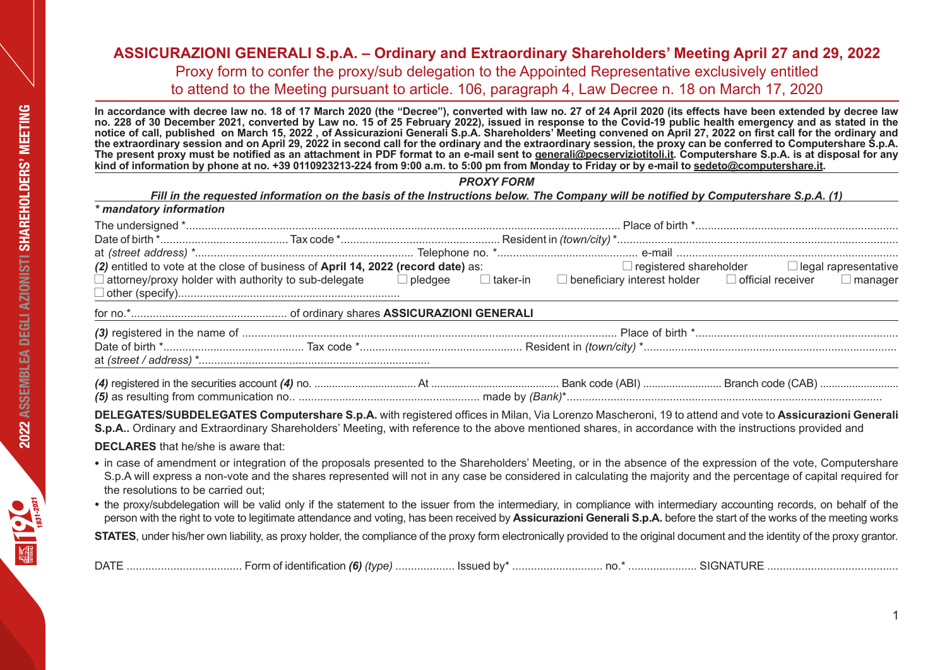**In accordance with decree law no. 18 of 17 March 2020 (the "Decree"), converted with law no. 27 of 24 April 2020 (its effects have been extended by decree law no. 228 of 30 December 2021, converted by Law no. 15 of 25 February 2022), issued in response to the Covid-19 public health emergency and as stated in the notice of call, published on March 15, 2022 , of Assicurazioni Generali S.p.A. Shareholders' Meeting convened on April 27, 2022 on first call for the ordinary and the extraordinary session and on April 29, 2022 in second call for the ordinary and the extraordinary session, the proxy can be conferred to Computershare S.p.A. The present proxy must be notified as an attachment in PDF format to an e-mail sent to generali@pecserviziotitoli.it. Computershare S.p.A. is at disposal for any kind of information by phone at no. +39 0110923213-224 from 9:00 a.m. to 5:00 pm from Monday to Friday or by e-mail to sedeto@computershare.it.** 

*PROXY FORM*

*Fill in the requested information on the basis of the Instructions below. The Company will be notified by Computershare S.p.A. (1)*

| * mandatory information                                                                                                                                                                                                                                                                                                                                                   |                                                                             |                                                           |
|---------------------------------------------------------------------------------------------------------------------------------------------------------------------------------------------------------------------------------------------------------------------------------------------------------------------------------------------------------------------------|-----------------------------------------------------------------------------|-----------------------------------------------------------|
|                                                                                                                                                                                                                                                                                                                                                                           |                                                                             |                                                           |
|                                                                                                                                                                                                                                                                                                                                                                           |                                                                             |                                                           |
|                                                                                                                                                                                                                                                                                                                                                                           |                                                                             |                                                           |
| (2) entitled to vote at the close of business of April 14, 2022 (record date) as:                                                                                                                                                                                                                                                                                         |                                                                             | $\Box$ registered shareholder $\Box$ legal rapresentative |
| $\Box$ attorney/proxy holder with authority to sub-delegate $\Box$ pledgee                                                                                                                                                                                                                                                                                                | $\Box$ taker-in $\Box$ beneficiary interest holder $\Box$ official receiver | $\Box$ manager                                            |
|                                                                                                                                                                                                                                                                                                                                                                           |                                                                             |                                                           |
|                                                                                                                                                                                                                                                                                                                                                                           |                                                                             |                                                           |
|                                                                                                                                                                                                                                                                                                                                                                           |                                                                             |                                                           |
| DELEGATES/SUBDELEGATES Computershare S.p.A. with registered offices in Milan, Via Lorenzo Mascheroni, 19 to attend and vote to Assicurazioni Generali<br>S.p.A Ordinary and Extraordinary Shareholders' Meeting, with reference to the above mentioned shares, in accordance with the instructions provided and                                                           |                                                                             |                                                           |
| <b>DECLARES</b> that he/she is aware that:                                                                                                                                                                                                                                                                                                                                |                                                                             |                                                           |
| • in case of amendment or integration of the proposals presented to the Shareholders' Meeting, or in the absence of the expression of the vote, Computershare<br>S.p.A will express a non-vote and the shares represented will not in any case be considered in calculating the majority and the percentage of capital required for<br>the resolutions to be carried out: |                                                                             |                                                           |

• the proxy/subdelegation will be valid only if the statement to the issuer from the intermediary, in compliance with intermediary accounting records, on behalf of the person with the right to vote to legitimate attendance and voting, has been received by **Assicurazioni Generali S.p.A.** before the start of the works of the meeting works **STATES**, under his/her own liability, as proxy holder, the compliance of the proxy form electronically provided to the original document and the identity of the proxy grantor.

DATE ..................................... Form of identification *(6) (type)* ................... Issued by\* ............................. no.\* ...................... SIGNATURE ..........................................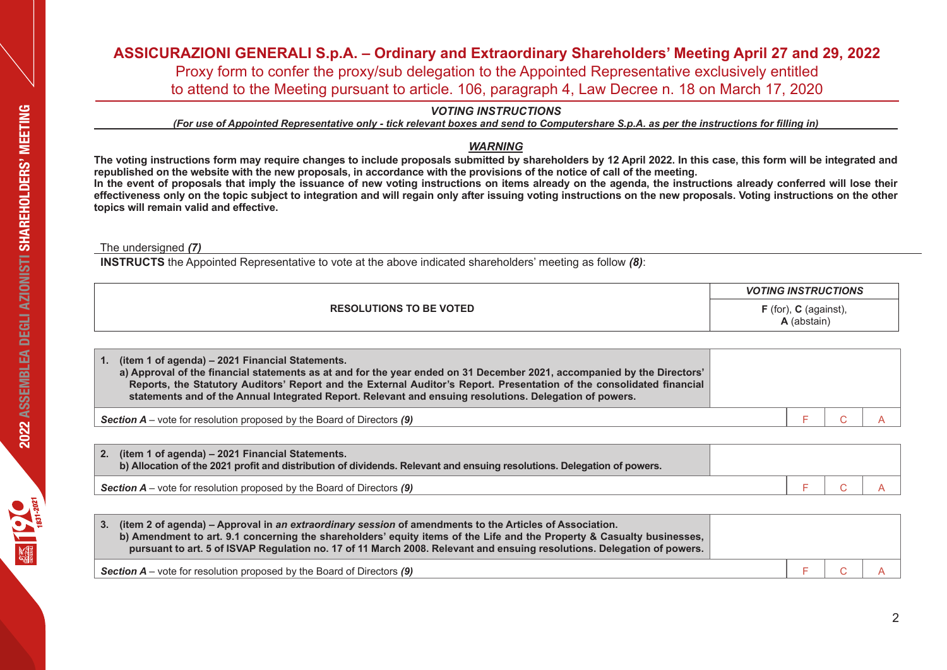*VOTING INSTRUCTIONS*

*(For use of Appointed Representative only - tick relevant boxes and send to Computershare S.p.A. as per the instructions for filling in)* 

## *WARNING*

**The voting instructions form may require changes to include proposals submitted by shareholders by 12 April 2022. In this case, this form will be integrated and republished on the website with the new proposals, in accordance with the provisions of the notice of call of the meeting.**

**In the event of proposals that imply the issuance of new voting instructions on items already on the agenda, the instructions already conferred will lose their effectiveness only on the topic subject to integration and will regain only after issuing voting instructions on the new proposals. Voting instructions on the other topics will remain valid and effective.**

The undersigned *(7)*

**INSTRUCTS** the Appointed Representative to vote at the above indicated shareholders' meeting as follow *(8)*:

|                                | <b>VOTING INSTRUCTIONS</b>               |
|--------------------------------|------------------------------------------|
| <b>RESOLUTIONS TO BE VOTED</b> | $F$ (for), $C$ (against),<br>. (abstain) |

| 1. (item 1 of agenda) - 2021 Financial Statements.<br>a) Approval of the financial statements as at and for the year ended on 31 December 2021, accompanied by the Directors'<br>Reports, the Statutory Auditors' Report and the External Auditor's Report. Presentation of the consolidated financial<br>statements and of the Annual Integrated Report. Relevant and ensuing resolutions. Delegation of powers. |  |  |
|-------------------------------------------------------------------------------------------------------------------------------------------------------------------------------------------------------------------------------------------------------------------------------------------------------------------------------------------------------------------------------------------------------------------|--|--|
| <b>Section <math>A</math></b> – vote for resolution proposed by the Board of Directors $(9)$                                                                                                                                                                                                                                                                                                                      |  |  |

| (item 1 of agenda) – 2021 Financial Statements.<br>2.<br>b) Allocation of the 2021 profit and distribution of dividends. Relevant and ensuing resolutions. Delegation of powers. |  |  |
|----------------------------------------------------------------------------------------------------------------------------------------------------------------------------------|--|--|
| <b>Section A</b> – vote for resolution proposed by the Board of Directors $(9)$                                                                                                  |  |  |

| (item 2 of agenda) – Approval in an extraordinary session of amendments to the Articles of Association.<br>b) Amendment to art. 9.1 concerning the shareholders' equity items of the Life and the Property & Casualty businesses,<br>pursuant to art. 5 of ISVAP Regulation no. 17 of 11 March 2008. Relevant and ensuing resolutions. Delegation of powers. |  |  |
|--------------------------------------------------------------------------------------------------------------------------------------------------------------------------------------------------------------------------------------------------------------------------------------------------------------------------------------------------------------|--|--|
| <b>Section A</b> – vote for resolution proposed by the Board of Directors (9)                                                                                                                                                                                                                                                                                |  |  |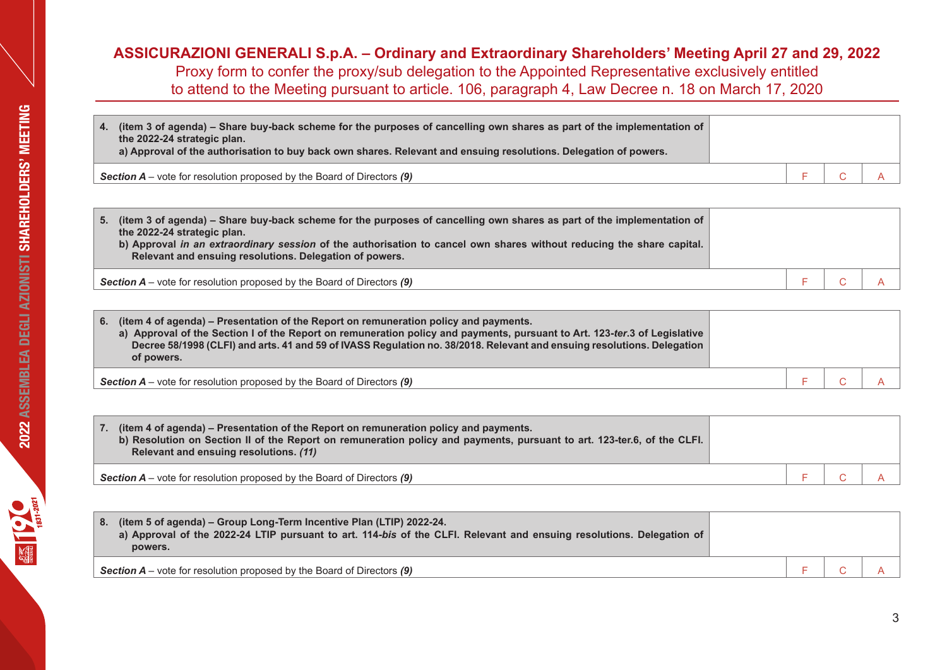| (item 3 of agenda) – Share buy-back scheme for the purposes of cancelling own shares as part of the implementation of<br>4.<br>the 2022-24 strategic plan.<br>a) Approval of the authorisation to buy back own shares. Relevant and ensuing resolutions. Delegation of powers. |  |  |
|--------------------------------------------------------------------------------------------------------------------------------------------------------------------------------------------------------------------------------------------------------------------------------|--|--|
| <b>Section A</b> – vote for resolution proposed by the Board of Directors $(9)$                                                                                                                                                                                                |  |  |

| (item 3 of agenda) – Share buy-back scheme for the purposes of cancelling own shares as part of the implementation of<br>5.<br>the 2022-24 strategic plan.<br>b) Approval in an extraordinary session of the authorisation to cancel own shares without reducing the share capital.<br>Relevant and ensuing resolutions. Delegation of powers. |  |  |
|------------------------------------------------------------------------------------------------------------------------------------------------------------------------------------------------------------------------------------------------------------------------------------------------------------------------------------------------|--|--|
| <b>Section A</b> – vote for resolution proposed by the Board of Directors $(9)$                                                                                                                                                                                                                                                                |  |  |

| 6. (item 4 of agenda) – Presentation of the Report on remuneration policy and payments.<br>a) Approval of the Section I of the Report on remuneration policy and payments, pursuant to Art. 123-ter.3 of Legislative<br>Decree 58/1998 (CLFI) and arts. 41 and 59 of IVASS Regulation no. 38/2018. Relevant and ensuing resolutions. Delegation<br>of powers. |  |  |
|---------------------------------------------------------------------------------------------------------------------------------------------------------------------------------------------------------------------------------------------------------------------------------------------------------------------------------------------------------------|--|--|
| <b>Section A</b> – vote for resolution proposed by the Board of Directors $(9)$                                                                                                                                                                                                                                                                               |  |  |

| 7. (item 4 of agenda) – Presentation of the Report on remuneration policy and payments.<br>b) Resolution on Section II of the Report on remuneration policy and payments, pursuant to art. 123-ter.6, of the CLFI.<br>Relevant and ensuing resolutions. (11) |  |  |
|--------------------------------------------------------------------------------------------------------------------------------------------------------------------------------------------------------------------------------------------------------------|--|--|
| <b>Section A</b> – vote for resolution proposed by the Board of Directors $(9)$                                                                                                                                                                              |  |  |

| 8. | (item 5 of agenda) – Group Long-Term Incentive Plan (LTIP) 2022-24.<br>a) Approval of the 2022-24 LTIP pursuant to art. 114-bis of the CLFI. Relevant and ensuing resolutions. Delegation of<br>powers. |  |  |
|----|---------------------------------------------------------------------------------------------------------------------------------------------------------------------------------------------------------|--|--|
|    | <b>Section A</b> – vote for resolution proposed by the Board of Directors $(9)$                                                                                                                         |  |  |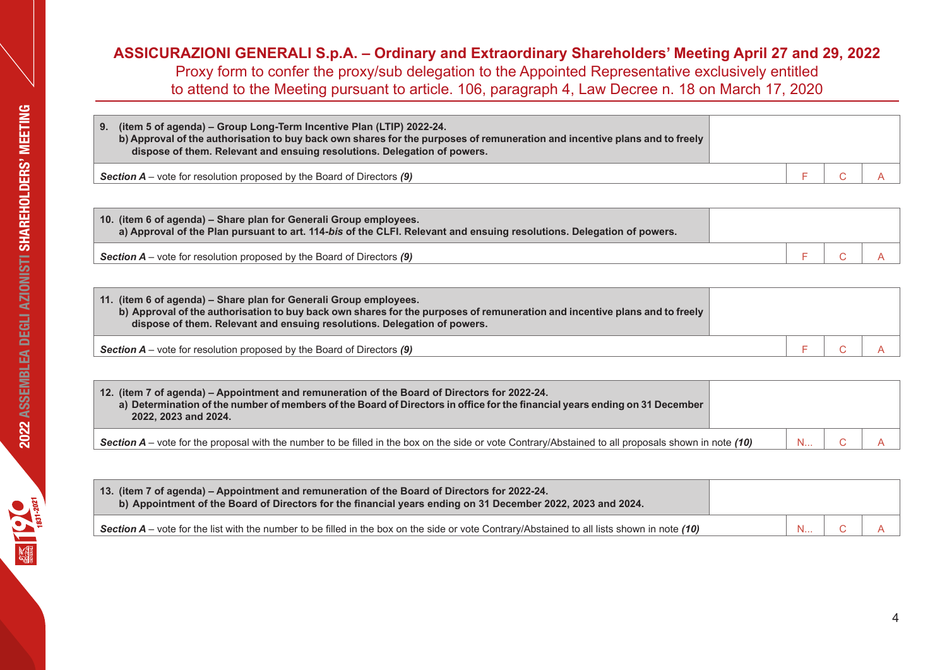| 9. (item 5 of agenda) - Group Long-Term Incentive Plan (LTIP) 2022-24.<br>b) Approval of the authorisation to buy back own shares for the purposes of remuneration and incentive plans and to freely<br>dispose of them. Relevant and ensuing resolutions. Delegation of powers. |  |  |
|----------------------------------------------------------------------------------------------------------------------------------------------------------------------------------------------------------------------------------------------------------------------------------|--|--|
| <b>Section A</b> – vote for resolution proposed by the Board of Directors $(9)$                                                                                                                                                                                                  |  |  |

| 10. (item 6 of agenda) – Share plan for Generali Group employees.<br>a) Approval of the Plan pursuant to art. 114-bis of the CLFI. Relevant and ensuing resolutions. Delegation of powers. |  |  |
|--------------------------------------------------------------------------------------------------------------------------------------------------------------------------------------------|--|--|
| <b>Section A</b> – vote for resolution proposed by the Board of Directors $(9)$                                                                                                            |  |  |

| 11. (item 6 of agenda) - Share plan for Generali Group employees.<br>b) Approval of the authorisation to buy back own shares for the purposes of remuneration and incentive plans and to freely<br>dispose of them. Relevant and ensuing resolutions. Delegation of powers. |  |  |
|-----------------------------------------------------------------------------------------------------------------------------------------------------------------------------------------------------------------------------------------------------------------------------|--|--|
| <b>Section A</b> – vote for resolution proposed by the Board of Directors $(9)$                                                                                                                                                                                             |  |  |

| 12. (item 7 of agenda) – Appointment and remuneration of the Board of Directors for 2022-24.<br>a) Determination of the number of members of the Board of Directors in office for the financial years ending on 31 December<br>2022, 2023 and 2024. |  |  |
|-----------------------------------------------------------------------------------------------------------------------------------------------------------------------------------------------------------------------------------------------------|--|--|
| Section $A$ – vote for the proposal with the number to be filled in the box on the side or vote Contrary/Abstained to all proposals shown in note (10)                                                                                              |  |  |

| 13. (item 7 of agenda) – Appointment and remuneration of the Board of Directors for 2022-24.<br>b) Appointment of the Board of Directors for the financial years ending on 31 December 2022, 2023 and 2024. |  |  |
|-------------------------------------------------------------------------------------------------------------------------------------------------------------------------------------------------------------|--|--|
| <b>Section A</b> – vote for the list with the number to be filled in the box on the side or vote Contrary/Abstained to all lists shown in note (10)                                                         |  |  |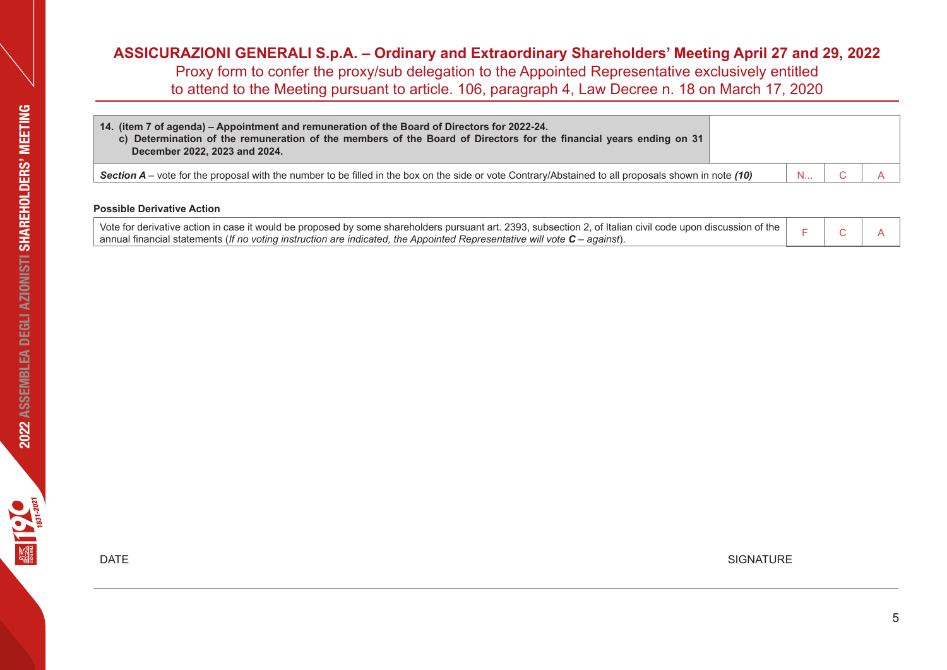| 14. (item 7 of agenda) – Appointment and remuneration of the Board of Directors for 2022-24.<br>c) Determination of the remuneration of the members of the Board of Directors for the financial years ending on 31<br>December 2022, 2023 and 2024. |  |  |
|-----------------------------------------------------------------------------------------------------------------------------------------------------------------------------------------------------------------------------------------------------|--|--|
| Section $A$ – vote for the proposal with the number to be filled in the box on the side or vote Contrary/Abstained to all proposals shown in note (10)                                                                                              |  |  |

## **Possible Derivative Action**

| Vote for derivative action in case it would be proposed by some shareholders pursuant art. 2393, subsection 2, of Italian civil code upon discussion of the |  |  |
|-------------------------------------------------------------------------------------------------------------------------------------------------------------|--|--|
| annual financial statements (If no voting instruction are indicated, the Appointed Representative will vote $C$ – against).                                 |  |  |

 $\blacksquare$  DATE SIGNATURE

**EXECUTER 181-2021**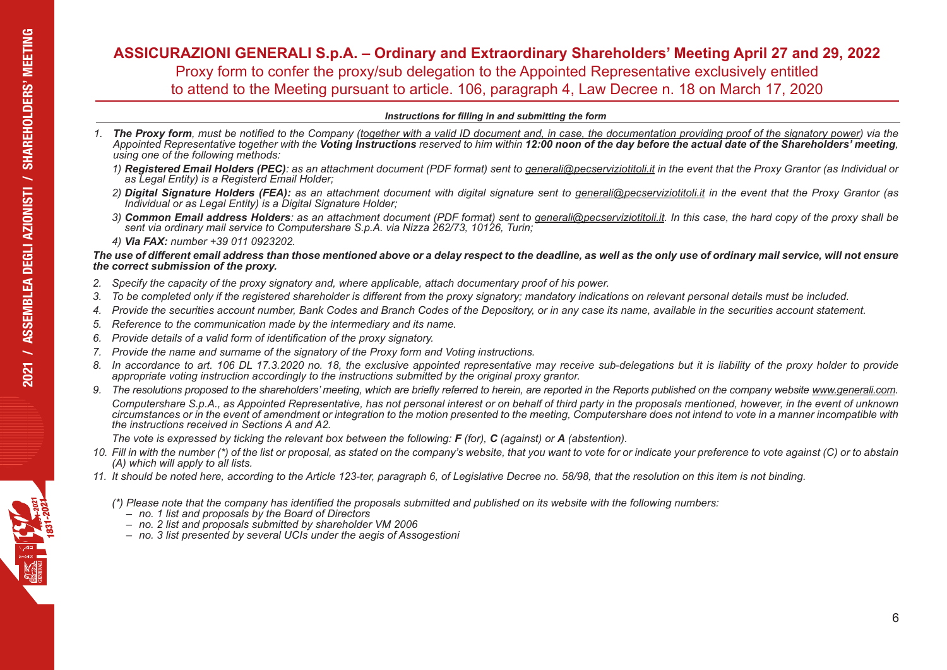# **ASSICURAZIONI GENERALI S.p.A. – Ordinary and Extraordinary Shareholders' Meeting April 27 and 29, 2022**  Proxy form to confer the proxy/sub delegation to the Appointed Representative exclusively entitled to attend to the Meeting pursuant to article. 106, paragraph 4, Law Decree n. 18 on March 17, 2020 **2021 / ASSEMBLEA** DEGLI AZIONISTI *CS*<br>2021 *CS stit* the pn

### *Instructions for filling in and submitting the form*

- *1. The Proxy form, must be notified to the Company (together with a valid ID document and, in case, the documentation providing proof of the signatory power) via the*  Appointed Representative together with the Voting Instructions reserved to him within 12:00 noon of the day before the actual date of the Shareholders' meeting, using one of the following methods:
	- *1) Registered Email Holders (PEC): as an attachment document (PDF format) sent to generali@pecserviziotitoli.it in the event that the Proxy Grantor (as Individual or as Legal Entity) is a Registerd Email Holder;*
	- *2) Digital Signature Holders (FEA): as an attachment document with digital signature sent to generali@pecserviziotitoli.it in the event that the Proxy Grantor (as Individual or as Legal Entity) is a Digital Signature Holder;*
	- *3) Common Email address Holders: as an attachment document (PDF format) sent to generali@pecserviziotitoli.it. In this case, the hard copy of the proxy shall be sent via ordinary mail service to Computershare S.p.A. via Nizza 262/73, 10126, Turin;*
	- *4) Via FAX: number +39 011 0923202.*

## *The use of different email address than those mentioned above or a delay respect to the deadline, as well as the only use of ordinary mail service, will not ensure the correct submission of the proxy.*

- *2. Specify the capacity of the proxy signatory and, where applicable, attach documentary proof of his power.*
- *3. To be completed only if the registered shareholder is different from the proxy signatory; mandatory indications on relevant personal details must be included.*
- *4. Provide the securities account number, Bank Codes and Branch Codes of the Depository, or in any case its name, available in the securities account statement.*
- *5. Reference to the communication made by the intermediary and its name.*
- *6. Provide details of a valid form of identification of the proxy signatory.*
- *7. Provide the name and surname of the signatory of the Proxy form and Voting instructions.*
- *8. In accordance to art. 106 DL 17.3.2020 no. 18, the exclusive appointed representative may receive sub-delegations but it is liability of the proxy holder to provide appropriate voting instruction accordingly to the instructions submitted by the original proxy grantor.*
- *9. The resolutions proposed to the shareholders' meeting, which are briefly referred to herein, are reported in the Reports published on the company website www.generali.com. Computershare S.p.A., as Appointed Representative, has not personal interest or on behalf of third party in the proposals mentioned, however, in the event of unknown circumstances or in the event of amendment or integration to the motion presented to the meeting, Computershare does not intend to vote in a manner incompatible with the instructions received in Sections A and A2.*

*The vote is expressed by ticking the relevant box between the following: F (for), C (against) or A (abstention).*

- *10. Fill in with the number (\*) of the list or proposal, as stated on the company's website, that you want to vote for or indicate your preference to vote against (C) or to abstain (A) which will apply to all lists.*
- *11. It should be noted here, according to the Article 123-ter, paragraph 6, of Legislative Decree no. 58/98, that the resolution on this item is not binding.* 
	- (\*) Please note that the company has identified the proposals submitted and published on its website with the following numbers:<br>- no. 1 list and proposals by the Board of Directors<br>- no. 2 list and proposals submitted by
		-
		-
		- *– no. 3 list presented by several UCIs under the aegis of Assogestioni*